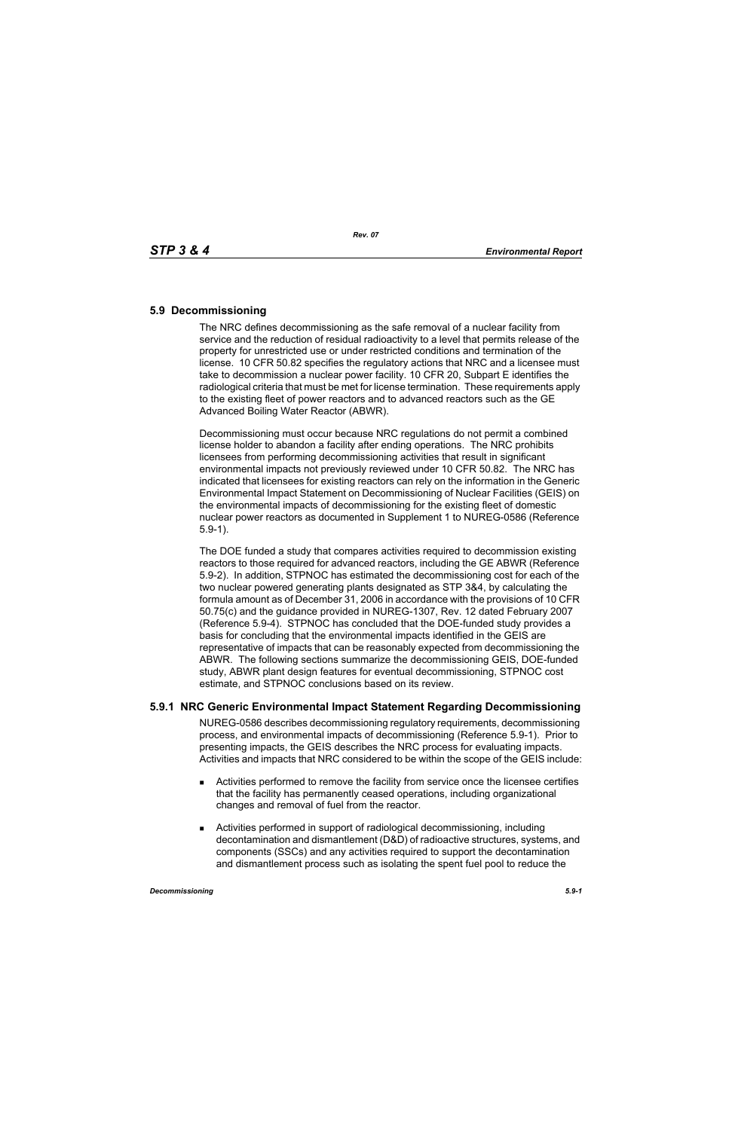### **5.9 Decommissioning**

The NRC defines decommissioning as the safe removal of a nuclear facility from service and the reduction of residual radioactivity to a level that permits release of the property for unrestricted use or under restricted conditions and termination of the license. 10 CFR 50.82 specifies the regulatory actions that NRC and a licensee must take to decommission a nuclear power facility. 10 CFR 20, Subpart E identifies the radiological criteria that must be met for license termination. These requirements apply to the existing fleet of power reactors and to advanced reactors such as the GE Advanced Boiling Water Reactor (ABWR).

Decommissioning must occur because NRC regulations do not permit a combined license holder to abandon a facility after ending operations. The NRC prohibits licensees from performing decommissioning activities that result in significant environmental impacts not previously reviewed under 10 CFR 50.82. The NRC has indicated that licensees for existing reactors can rely on the information in the Generic Environmental Impact Statement on Decommissioning of Nuclear Facilities (GEIS) on the environmental impacts of decommissioning for the existing fleet of domestic nuclear power reactors as documented in Supplement 1 to NUREG-0586 (Reference 5.9-1).

The DOE funded a study that compares activities required to decommission existing reactors to those required for advanced reactors, including the GE ABWR (Reference 5.9-2). In addition, STPNOC has estimated the decommissioning cost for each of the two nuclear powered generating plants designated as STP 3&4, by calculating the formula amount as of December 31, 2006 in accordance with the provisions of 10 CFR 50.75(c) and the guidance provided in NUREG-1307, Rev. 12 dated February 2007 (Reference 5.9-4). STPNOC has concluded that the DOE-funded study provides a basis for concluding that the environmental impacts identified in the GEIS are representative of impacts that can be reasonably expected from decommissioning the ABWR. The following sections summarize the decommissioning GEIS, DOE-funded study, ABWR plant design features for eventual decommissioning, STPNOC cost estimate, and STPNOC conclusions based on its review.

# **5.9.1 NRC Generic Environmental Impact Statement Regarding Decommissioning**

NUREG-0586 describes decommissioning regulatory requirements, decommissioning process, and environmental impacts of decommissioning (Reference 5.9-1). Prior to presenting impacts, the GEIS describes the NRC process for evaluating impacts. Activities and impacts that NRC considered to be within the scope of the GEIS include:

- Activities performed to remove the facility from service once the licensee certifies that the facility has permanently ceased operations, including organizational changes and removal of fuel from the reactor.
- Activities performed in support of radiological decommissioning, including decontamination and dismantlement (D&D) of radioactive structures, systems, and components (SSCs) and any activities required to support the decontamination and dismantlement process such as isolating the spent fuel pool to reduce the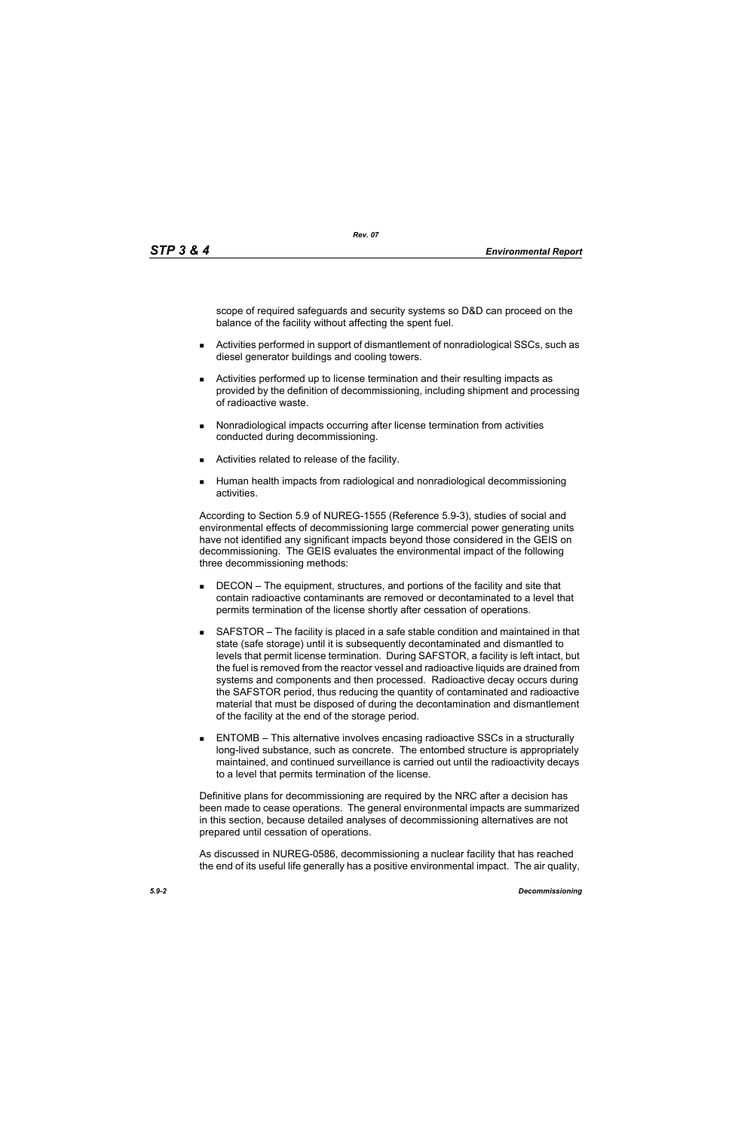scope of required safeguards and security systems so D&D can proceed on the balance of the facility without affecting the spent fuel.

- Activities performed in support of dismantlement of nonradiological SSCs, such as diesel generator buildings and cooling towers.
- Activities performed up to license termination and their resulting impacts as provided by the definition of decommissioning, including shipment and processing of radioactive waste.
- **Nonradiological impacts occurring after license termination from activities** conducted during decommissioning.
- **EXEC** Activities related to release of the facility.
- Human health impacts from radiological and nonradiological decommissioning activities.

According to Section 5.9 of NUREG-1555 (Reference 5.9-3), studies of social and environmental effects of decommissioning large commercial power generating units have not identified any significant impacts beyond those considered in the GEIS on decommissioning. The GEIS evaluates the environmental impact of the following three decommissioning methods:

- **DECON** The equipment, structures, and portions of the facility and site that contain radioactive contaminants are removed or decontaminated to a level that permits termination of the license shortly after cessation of operations.
- SAFSTOR The facility is placed in a safe stable condition and maintained in that state (safe storage) until it is subsequently decontaminated and dismantled to levels that permit license termination. During SAFSTOR, a facility is left intact, but the fuel is removed from the reactor vessel and radioactive liquids are drained from systems and components and then processed. Radioactive decay occurs during the SAFSTOR period, thus reducing the quantity of contaminated and radioactive material that must be disposed of during the decontamination and dismantlement of the facility at the end of the storage period.
- ENTOMB This alternative involves encasing radioactive SSCs in a structurally long-lived substance, such as concrete. The entombed structure is appropriately maintained, and continued surveillance is carried out until the radioactivity decays to a level that permits termination of the license.

Definitive plans for decommissioning are required by the NRC after a decision has been made to cease operations. The general environmental impacts are summarized in this section, because detailed analyses of decommissioning alternatives are not prepared until cessation of operations.

As discussed in NUREG-0586, decommissioning a nuclear facility that has reached the end of its useful life generally has a positive environmental impact. The air quality,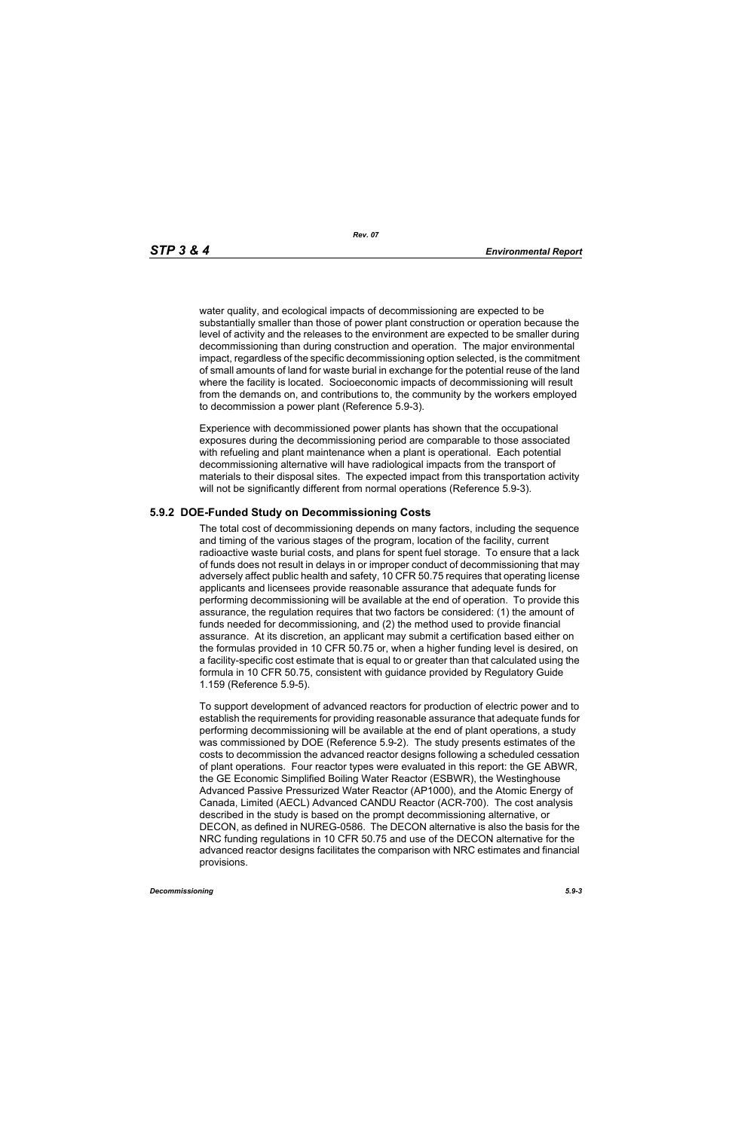*Rev. 07*

water quality, and ecological impacts of decommissioning are expected to be substantially smaller than those of power plant construction or operation because the level of activity and the releases to the environment are expected to be smaller during decommissioning than during construction and operation. The major environmental impact, regardless of the specific decommissioning option selected, is the commitment of small amounts of land for waste burial in exchange for the potential reuse of the land where the facility is located. Socioeconomic impacts of decommissioning will result from the demands on, and contributions to, the community by the workers employed to decommission a power plant (Reference 5.9-3).

Experience with decommissioned power plants has shown that the occupational exposures during the decommissioning period are comparable to those associated with refueling and plant maintenance when a plant is operational. Each potential decommissioning alternative will have radiological impacts from the transport of materials to their disposal sites. The expected impact from this transportation activity will not be significantly different from normal operations (Reference 5.9-3).

# **5.9.2 DOE-Funded Study on Decommissioning Costs**

The total cost of decommissioning depends on many factors, including the sequence and timing of the various stages of the program, location of the facility, current radioactive waste burial costs, and plans for spent fuel storage. To ensure that a lack of funds does not result in delays in or improper conduct of decommissioning that may adversely affect public health and safety, 10 CFR 50.75 requires that operating license applicants and licensees provide reasonable assurance that adequate funds for performing decommissioning will be available at the end of operation. To provide this assurance, the regulation requires that two factors be considered: (1) the amount of funds needed for decommissioning, and (2) the method used to provide financial assurance. At its discretion, an applicant may submit a certification based either on the formulas provided in 10 CFR 50.75 or, when a higher funding level is desired, on a facility-specific cost estimate that is equal to or greater than that calculated using the formula in 10 CFR 50.75, consistent with guidance provided by Regulatory Guide 1.159 (Reference 5.9-5).

To support development of advanced reactors for production of electric power and to establish the requirements for providing reasonable assurance that adequate funds for performing decommissioning will be available at the end of plant operations, a study was commissioned by DOE (Reference 5.9-2). The study presents estimates of the costs to decommission the advanced reactor designs following a scheduled cessation of plant operations. Four reactor types were evaluated in this report: the GE ABWR, the GE Economic Simplified Boiling Water Reactor (ESBWR), the Westinghouse Advanced Passive Pressurized Water Reactor (AP1000), and the Atomic Energy of Canada, Limited (AECL) Advanced CANDU Reactor (ACR-700). The cost analysis described in the study is based on the prompt decommissioning alternative, or DECON, as defined in NUREG-0586. The DECON alternative is also the basis for the NRC funding regulations in 10 CFR 50.75 and use of the DECON alternative for the advanced reactor designs facilitates the comparison with NRC estimates and financial provisions.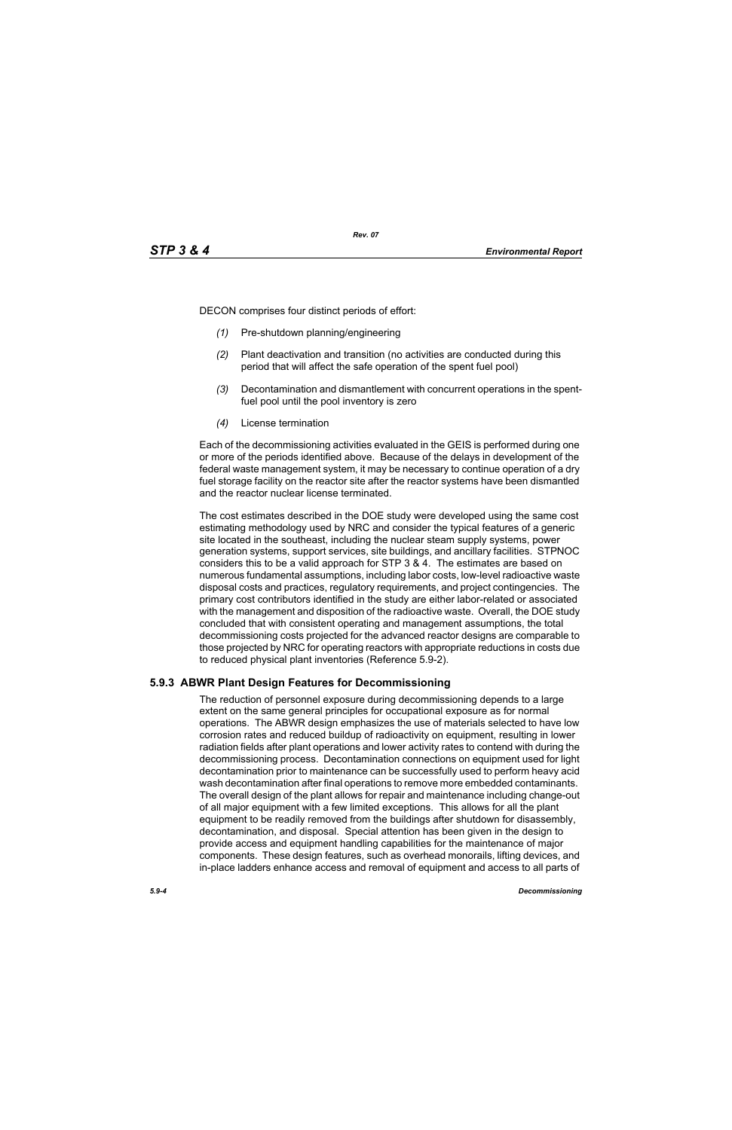DECON comprises four distinct periods of effort:

- *(1)* Pre-shutdown planning/engineering
- *(2)* Plant deactivation and transition (no activities are conducted during this period that will affect the safe operation of the spent fuel pool)
- *(3)* Decontamination and dismantlement with concurrent operations in the spentfuel pool until the pool inventory is zero
- *(4)* License termination

Each of the decommissioning activities evaluated in the GEIS is performed during one or more of the periods identified above. Because of the delays in development of the federal waste management system, it may be necessary to continue operation of a dry fuel storage facility on the reactor site after the reactor systems have been dismantled and the reactor nuclear license terminated.

The cost estimates described in the DOE study were developed using the same cost estimating methodology used by NRC and consider the typical features of a generic site located in the southeast, including the nuclear steam supply systems, power generation systems, support services, site buildings, and ancillary facilities. STPNOC considers this to be a valid approach for STP 3 & 4. The estimates are based on numerous fundamental assumptions, including labor costs, low-level radioactive waste disposal costs and practices, regulatory requirements, and project contingencies. The primary cost contributors identified in the study are either labor-related or associated with the management and disposition of the radioactive waste. Overall, the DOE study concluded that with consistent operating and management assumptions, the total decommissioning costs projected for the advanced reactor designs are comparable to those projected by NRC for operating reactors with appropriate reductions in costs due to reduced physical plant inventories (Reference 5.9-2).

# **5.9.3 ABWR Plant Design Features for Decommissioning**

The reduction of personnel exposure during decommissioning depends to a large extent on the same general principles for occupational exposure as for normal operations. The ABWR design emphasizes the use of materials selected to have low corrosion rates and reduced buildup of radioactivity on equipment, resulting in lower radiation fields after plant operations and lower activity rates to contend with during the decommissioning process. Decontamination connections on equipment used for light decontamination prior to maintenance can be successfully used to perform heavy acid wash decontamination after final operations to remove more embedded contaminants. The overall design of the plant allows for repair and maintenance including change-out of all major equipment with a few limited exceptions. This allows for all the plant equipment to be readily removed from the buildings after shutdown for disassembly, decontamination, and disposal. Special attention has been given in the design to provide access and equipment handling capabilities for the maintenance of major components. These design features, such as overhead monorails, lifting devices, and in-place ladders enhance access and removal of equipment and access to all parts of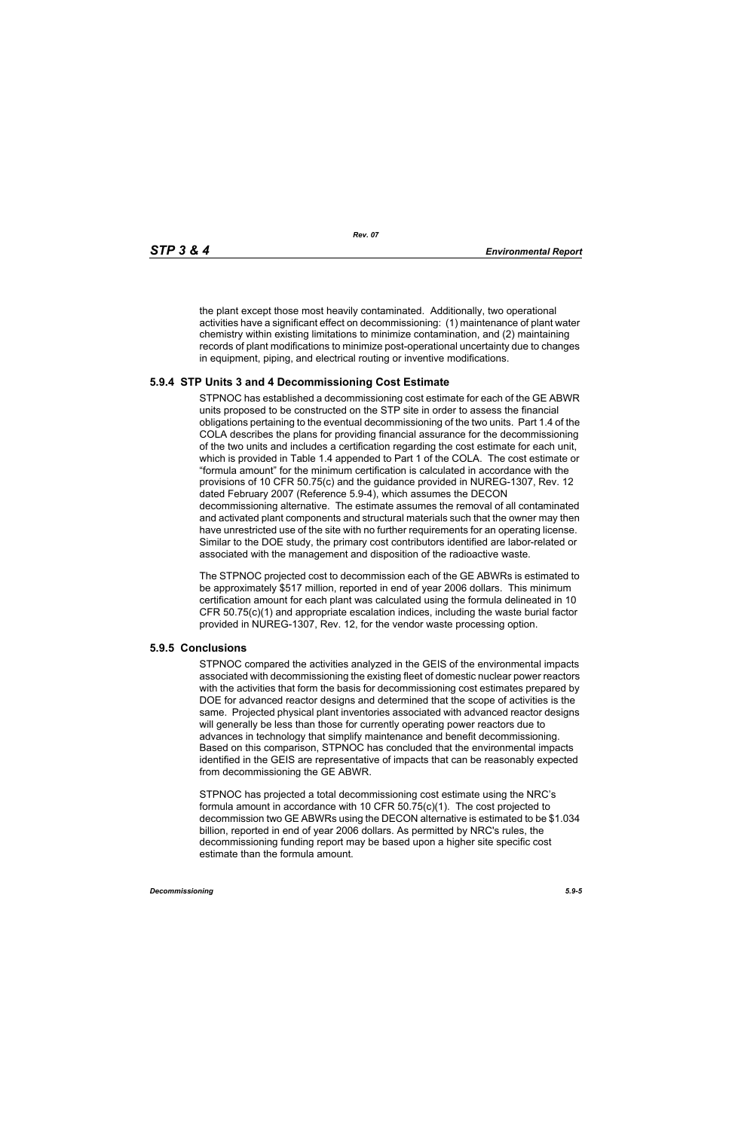the plant except those most heavily contaminated. Additionally, two operational activities have a significant effect on decommissioning: (1) maintenance of plant water chemistry within existing limitations to minimize contamination, and (2) maintaining records of plant modifications to minimize post-operational uncertainty due to changes in equipment, piping, and electrical routing or inventive modifications.

### **5.9.4 STP Units 3 and 4 Decommissioning Cost Estimate**

STPNOC has established a decommissioning cost estimate for each of the GE ABWR units proposed to be constructed on the STP site in order to assess the financial obligations pertaining to the eventual decommissioning of the two units. Part 1.4 of the COLA describes the plans for providing financial assurance for the decommissioning of the two units and includes a certification regarding the cost estimate for each unit, which is provided in Table 1.4 appended to Part 1 of the COLA. The cost estimate or "formula amount" for the minimum certification is calculated in accordance with the provisions of 10 CFR 50.75(c) and the guidance provided in NUREG-1307, Rev. 12 dated February 2007 (Reference 5.9-4), which assumes the DECON decommissioning alternative. The estimate assumes the removal of all contaminated and activated plant components and structural materials such that the owner may then have unrestricted use of the site with no further requirements for an operating license. Similar to the DOE study, the primary cost contributors identified are labor-related or associated with the management and disposition of the radioactive waste.

The STPNOC projected cost to decommission each of the GE ABWRs is estimated to be approximately \$517 million, reported in end of year 2006 dollars. This minimum certification amount for each plant was calculated using the formula delineated in 10 CFR 50.75(c)(1) and appropriate escalation indices, including the waste burial factor provided in NUREG-1307, Rev. 12, for the vendor waste processing option.

#### **5.9.5 Conclusions**

STPNOC compared the activities analyzed in the GEIS of the environmental impacts associated with decommissioning the existing fleet of domestic nuclear power reactors with the activities that form the basis for decommissioning cost estimates prepared by DOE for advanced reactor designs and determined that the scope of activities is the same. Projected physical plant inventories associated with advanced reactor designs will generally be less than those for currently operating power reactors due to advances in technology that simplify maintenance and benefit decommissioning. Based on this comparison, STPNOC has concluded that the environmental impacts identified in the GEIS are representative of impacts that can be reasonably expected from decommissioning the GE ABWR.

STPNOC has projected a total decommissioning cost estimate using the NRC's formula amount in accordance with 10 CFR 50.75(c)(1). The cost projected to decommission two GE ABWRs using the DECON alternative is estimated to be \$1.034 billion, reported in end of year 2006 dollars. As permitted by NRC's rules, the decommissioning funding report may be based upon a higher site specific cost estimate than the formula amount.